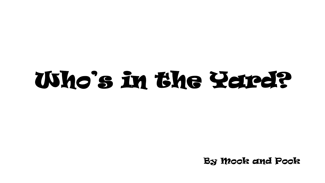By Mook and Pook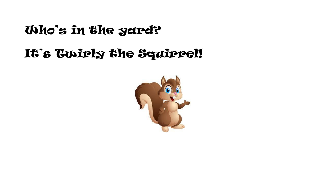# It's Cuirly the Squirrel!

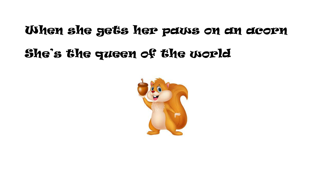# When she gets her paws on an acorn She's the queen of the world

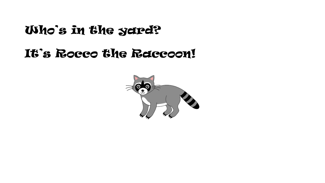# It's Rocco the Raccoon!

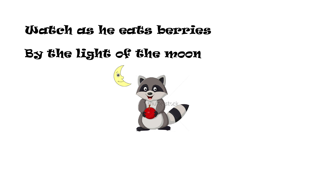#### Watch as he eats berries

# By the light of the moon

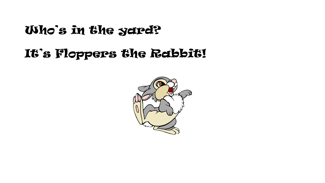# It's Floppers the Rabbit!

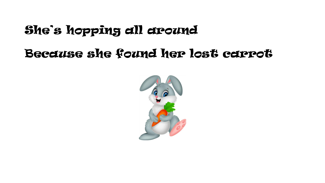# She's hopping all around

# Because she found her lost carrot

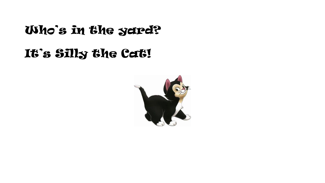# It's Silly the Cat!

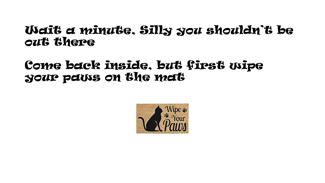#### Wait a minute, Silly you shouldn't be out there

#### Come back inside, but first wipe your paws on the mat

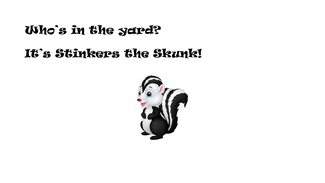# It's Stinkers the Skunk!

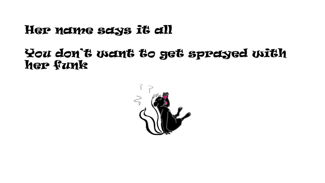## Her name says it all

#### You don't want to get sprayed with her funk

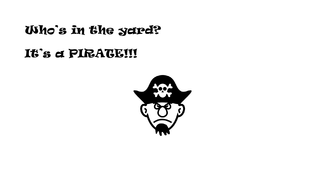# It's a PIRATE!!!

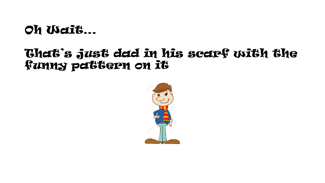# Oh Wait...

### That's just dad in his scarf with the **funny pattern on it**

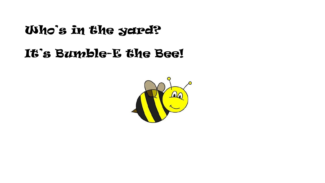# It's Bumble-E the Bee!

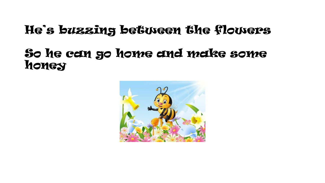# He's buzzing between the flowers

### So he can go home and make some honey

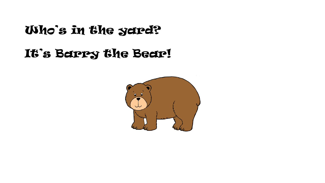It's Barry the Bear!

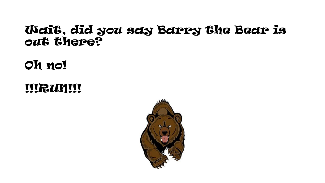#### Wait, did you say Barry the Bear is out there?

# Oh no!

**IIIRUNII**